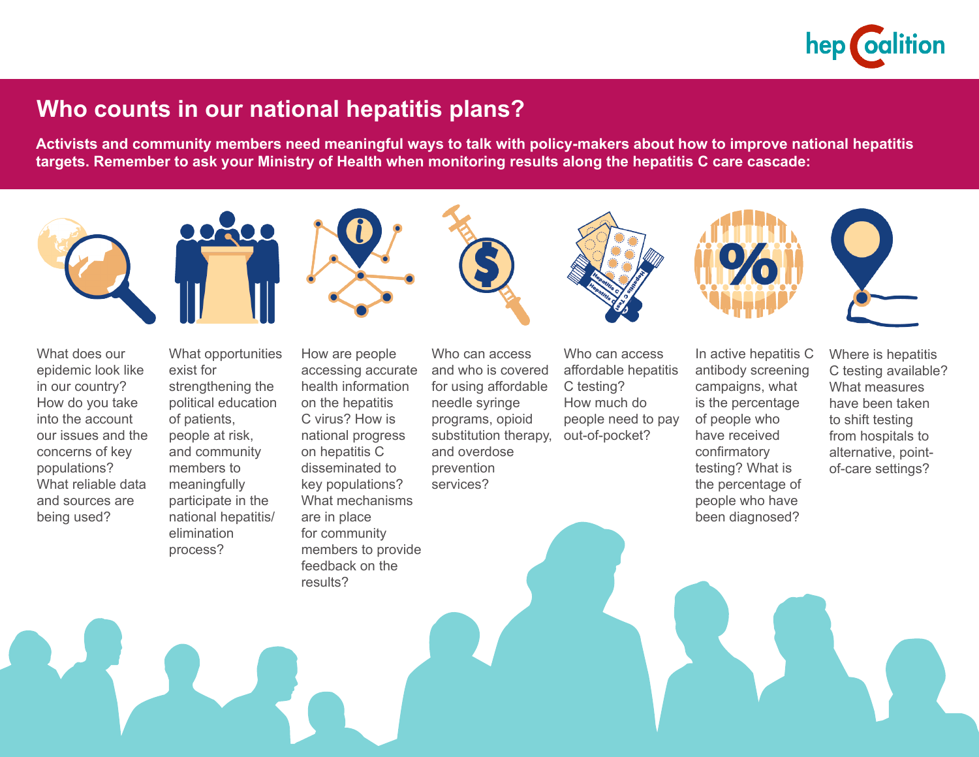

## **Who counts in our national hepatitis plans?**

**Activists and community members need meaningful ways to talk with policy-makers about how to improve national hepatitis targets. Remember to ask your Ministry of Health when monitoring results along the hepatitis C care cascade:**



in our country? How do you take into the account our issues and the concerns of key populations? What reliable data and sources are being used?

strengthening the political education of patients, people at risk, and community members to meaningfully participate in the national hepatitis/ elimination process?

health information on the hepatitis C virus? How is national progress on hepatitis C disseminated to key populations? What mechanisms are in place for community members to provide feedback on the

results?

for using affordable needle syringe programs, opioid substitution therapy, and overdose prevention

services?

C testing? How much do people need to pay out-of-pocket?

campaigns, what is the percentage of people who have received confirmatory testing? What is the percentage of people who have been diagnosed?

C testing available? What measures have been taken to shift testing from hospitals to alternative, pointof-care settings?